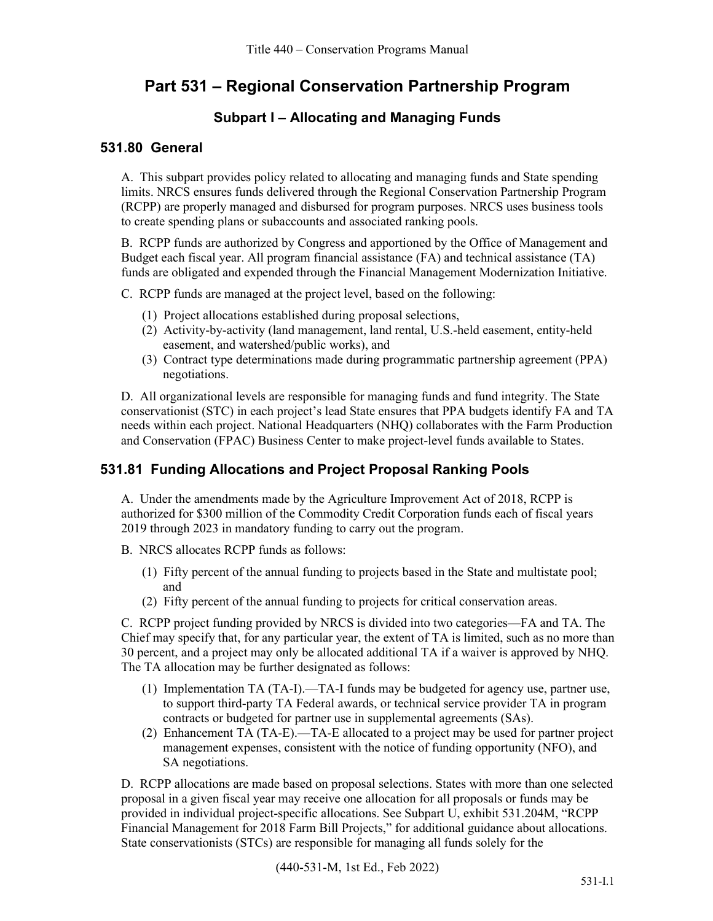# **Part 531 – Regional Conservation Partnership Program**

# **Subpart I – Allocating and Managing Funds**

## **531.80 General**

A. This subpart provides policy related to allocating and managing funds and State spending limits. NRCS ensures funds delivered through the Regional Conservation Partnership Program (RCPP) are properly managed and disbursed for program purposes. NRCS uses business tools to create spending plans or subaccounts and associated ranking pools.

B. RCPP funds are authorized by Congress and apportioned by the Office of Management and Budget each fiscal year. All program financial assistance (FA) and technical assistance (TA) funds are obligated and expended through the Financial Management Modernization Initiative.

C. RCPP funds are managed at the project level, based on the following:

- (1) Project allocations established during proposal selections,
- (2) Activity-by-activity (land management, land rental, U.S.-held easement, entity-held easement, and watershed/public works), and
- (3) Contract type determinations made during programmatic partnership agreement (PPA) negotiations.

D. All organizational levels are responsible for managing funds and fund integrity. The State conservationist (STC) in each project's lead State ensures that PPA budgets identify FA and TA needs within each project. National Headquarters (NHQ) collaborates with the Farm Production and Conservation (FPAC) Business Center to make project-level funds available to States.

# **531.81 Funding Allocations and Project Proposal Ranking Pools**

A. Under the amendments made by the Agriculture Improvement Act of 2018, RCPP is authorized for \$300 million of the Commodity Credit Corporation funds each of fiscal years 2019 through 2023 in mandatory funding to carry out the program.

- B. NRCS allocates RCPP funds as follows:
	- (1) Fifty percent of the annual funding to projects based in the State and multistate pool; and
	- (2) Fifty percent of the annual funding to projects for critical conservation areas.

C. RCPP project funding provided by NRCS is divided into two categories—FA and TA. The Chief may specify that, for any particular year, the extent of TA is limited, such as no more than 30 percent, and a project may only be allocated additional TA if a waiver is approved by NHQ. The TA allocation may be further designated as follows:

- (1) Implementation TA (TA-I).—TA-I funds may be budgeted for agency use, partner use, to support third-party TA Federal awards, or technical service provider TA in program contracts or budgeted for partner use in supplemental agreements (SAs).
- (2) Enhancement TA (TA-E).—TA-E allocated to a project may be used for partner project management expenses, consistent with the notice of funding opportunity (NFO), and SA negotiations.

D. RCPP allocations are made based on proposal selections. States with more than one selected proposal in a given fiscal year may receive one allocation for all proposals or funds may be provided in individual project-specific allocations. See Subpart U, exhibit 531.204M, "RCPP Financial Management for 2018 Farm Bill Projects," for additional guidance about allocations. State conservationists (STCs) are responsible for managing all funds solely for the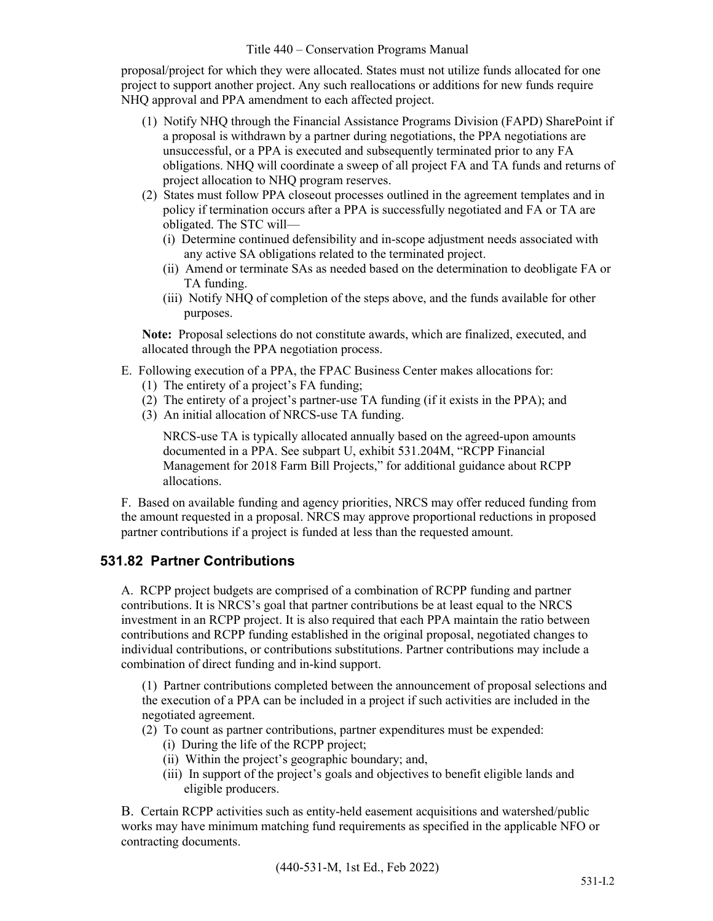proposal/project for which they were allocated. States must not utilize funds allocated for one project to support another project. Any such reallocations or additions for new funds require NHQ approval and PPA amendment to each affected project.

- (1) Notify NHQ through the Financial Assistance Programs Division (FAPD) SharePoint if a proposal is withdrawn by a partner during negotiations, the PPA negotiations are unsuccessful, or a PPA is executed and subsequently terminated prior to any FA obligations. NHQ will coordinate a sweep of all project FA and TA funds and returns of project allocation to NHQ program reserves.
- (2) States must follow PPA closeout processes outlined in the agreement templates and in policy if termination occurs after a PPA is successfully negotiated and FA or TA are obligated. The STC will—
	- (i) Determine continued defensibility and in-scope adjustment needs associated with any active SA obligations related to the terminated project.
	- (ii) Amend or terminate SAs as needed based on the determination to deobligate FA or TA funding.
	- (iii) Notify NHQ of completion of the steps above, and the funds available for other purposes.

**Note:** Proposal selections do not constitute awards, which are finalized, executed, and allocated through the PPA negotiation process.

- E. Following execution of a PPA, the FPAC Business Center makes allocations for:
	- (1) The entirety of a project's FA funding;
	- (2) The entirety of a project's partner-use TA funding (if it exists in the PPA); and
	- (3) An initial allocation of NRCS-use TA funding.

NRCS-use TA is typically allocated annually based on the agreed-upon amounts documented in a PPA. See subpart U, exhibit 531.204M, "RCPP Financial Management for 2018 Farm Bill Projects," for additional guidance about RCPP allocations.

F. Based on available funding and agency priorities, NRCS may offer reduced funding from the amount requested in a proposal. NRCS may approve proportional reductions in proposed partner contributions if a project is funded at less than the requested amount.

# **531.82 Partner Contributions**

A. RCPP project budgets are comprised of a combination of RCPP funding and partner contributions. It is NRCS's goal that partner contributions be at least equal to the NRCS investment in an RCPP project. It is also required that each PPA maintain the ratio between contributions and RCPP funding established in the original proposal, negotiated changes to individual contributions, or contributions substitutions. Partner contributions may include a combination of direct funding and in-kind support.

(1) Partner contributions completed between the announcement of proposal selections and the execution of a PPA can be included in a project if such activities are included in the negotiated agreement.

- (2) To count as partner contributions, partner expenditures must be expended:
	- (i) During the life of the RCPP project;
	- (ii) Within the project's geographic boundary; and,
	- (iii) In support of the project's goals and objectives to benefit eligible lands and eligible producers.

B. Certain RCPP activities such as entity-held easement acquisitions and watershed/public works may have minimum matching fund requirements as specified in the applicable NFO or contracting documents.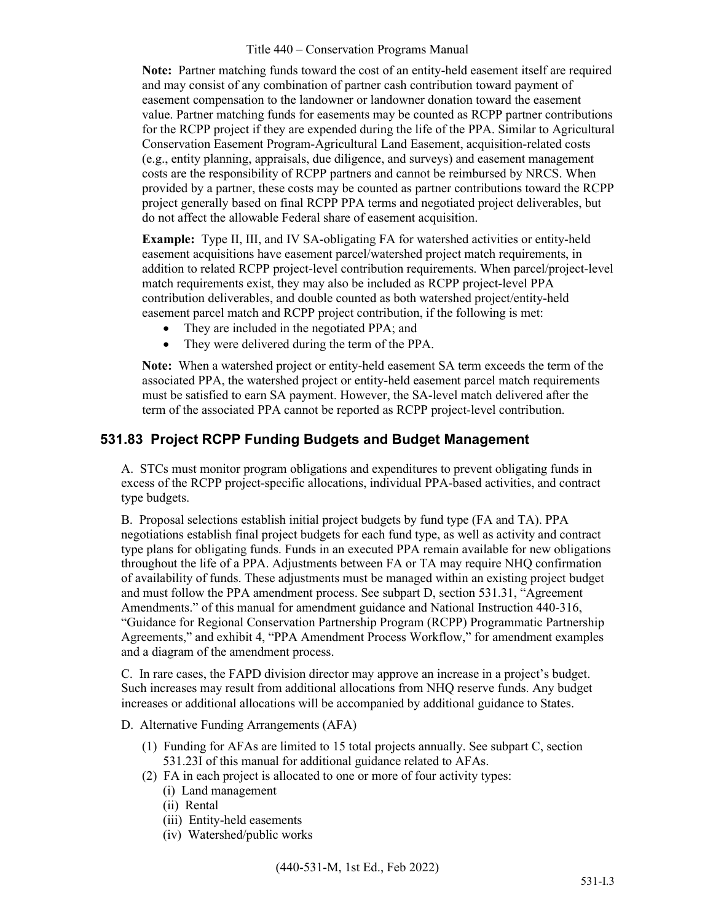**Note:** Partner matching funds toward the cost of an entity-held easement itself are required and may consist of any combination of partner cash contribution toward payment of easement compensation to the landowner or landowner donation toward the easement value. Partner matching funds for easements may be counted as RCPP partner contributions for the RCPP project if they are expended during the life of the PPA. Similar to Agricultural Conservation Easement Program-Agricultural Land Easement, acquisition-related costs (e.g., entity planning, appraisals, due diligence, and surveys) and easement management costs are the responsibility of RCPP partners and cannot be reimbursed by NRCS. When provided by a partner, these costs may be counted as partner contributions toward the RCPP project generally based on final RCPP PPA terms and negotiated project deliverables, but do not affect the allowable Federal share of easement acquisition.

**Example:** Type II, III, and IV SA-obligating FA for watershed activities or entity-held easement acquisitions have easement parcel/watershed project match requirements, in addition to related RCPP project-level contribution requirements. When parcel/project-level match requirements exist, they may also be included as RCPP project-level PPA contribution deliverables, and double counted as both watershed project/entity-held easement parcel match and RCPP project contribution, if the following is met:

- They are included in the negotiated PPA; and
- They were delivered during the term of the PPA.

**Note:** When a watershed project or entity-held easement SA term exceeds the term of the associated PPA, the watershed project or entity-held easement parcel match requirements must be satisfied to earn SA payment. However, the SA-level match delivered after the term of the associated PPA cannot be reported as RCPP project-level contribution.

### **531.83 Project RCPP Funding Budgets and Budget Management**

A. STCs must monitor program obligations and expenditures to prevent obligating funds in excess of the RCPP project-specific allocations, individual PPA-based activities, and contract type budgets.

B. Proposal selections establish initial project budgets by fund type (FA and TA). PPA negotiations establish final project budgets for each fund type, as well as activity and contract type plans for obligating funds. Funds in an executed PPA remain available for new obligations throughout the life of a PPA. Adjustments between FA or TA may require NHQ confirmation of availability of funds. These adjustments must be managed within an existing project budget and must follow the PPA amendment process. See subpart D, section 531.31, "Agreement Amendments." of this manual for amendment guidance and National Instruction 440-316, "Guidance for Regional Conservation Partnership Program (RCPP) Programmatic Partnership Agreements," and exhibit 4, "PPA Amendment Process Workflow," for amendment examples and a diagram of the amendment process.

C. In rare cases, the FAPD division director may approve an increase in a project's budget. Such increases may result from additional allocations from NHQ reserve funds. Any budget increases or additional allocations will be accompanied by additional guidance to States.

#### D. Alternative Funding Arrangements (AFA)

- (1) Funding for AFAs are limited to 15 total projects annually. See subpart C, section 531.23I of this manual for additional guidance related to AFAs.
- (2) FA in each project is allocated to one or more of four activity types:
	- (i) Land management
	- (ii) Rental
	- (iii) Entity-held easements
	- (iv) Watershed/public works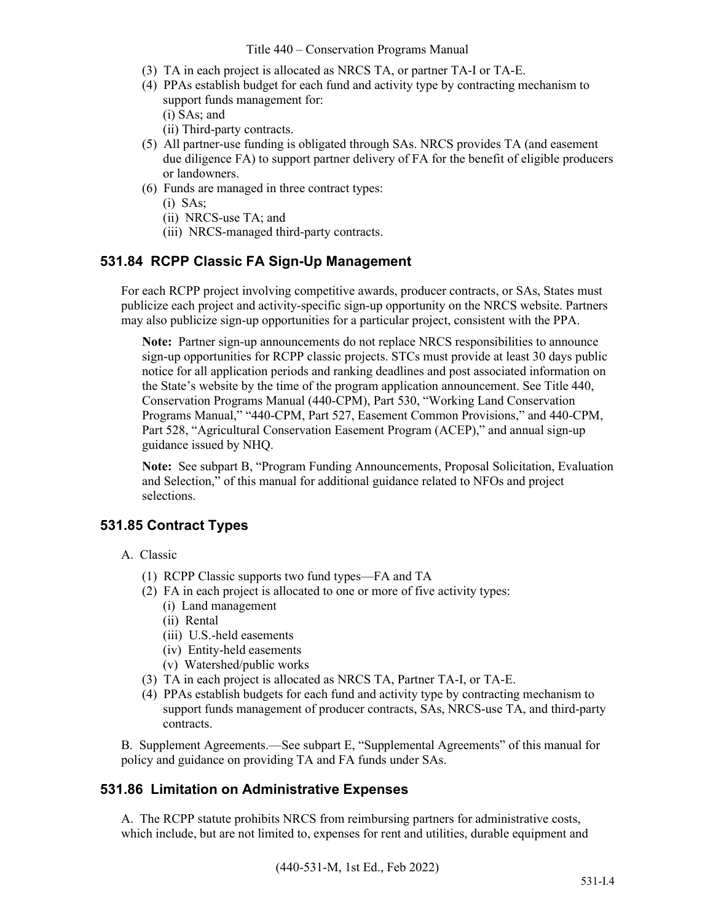- (3) TA in each project is allocated as NRCS TA, or partner TA-I or TA-E.
- (4) PPAs establish budget for each fund and activity type by contracting mechanism to support funds management for:
	- (i) SAs; and
	- (ii) Third-party contracts.
- (5) All partner-use funding is obligated through SAs. NRCS provides TA (and easement due diligence FA) to support partner delivery of FA for the benefit of eligible producers or landowners.
- (6) Funds are managed in three contract types:
	- (i) SAs;
	- (ii) NRCS-use TA; and
	- (iii) NRCS-managed third-party contracts.

### **531.84 RCPP Classic FA Sign-Up Management**

For each RCPP project involving competitive awards, producer contracts, or SAs, States must publicize each project and activity-specific sign-up opportunity on the NRCS website. Partners may also publicize sign-up opportunities for a particular project, consistent with the PPA.

**Note:** Partner sign-up announcements do not replace NRCS responsibilities to announce sign-up opportunities for RCPP classic projects. STCs must provide at least 30 days public notice for all application periods and ranking deadlines and post associated information on the State's website by the time of the program application announcement. See Title 440, Conservation Programs Manual (440-CPM), Part 530, "Working Land Conservation Programs Manual," "440-CPM, Part 527, Easement Common Provisions," and 440-CPM, Part 528, "Agricultural Conservation Easement Program (ACEP)," and annual sign-up guidance issued by NHQ.

**Note:** See subpart B, "Program Funding Announcements, Proposal Solicitation, Evaluation and Selection," of this manual for additional guidance related to NFOs and project selections.

### **531.85 Contract Types**

- A. Classic
	- (1) RCPP Classic supports two fund types—FA and TA
	- (2) FA in each project is allocated to one or more of five activity types:
		- (i) Land management
		- (ii) Rental
		- (iii) U.S.-held easements
		- (iv) Entity-held easements
		- (v) Watershed/public works
	- (3) TA in each project is allocated as NRCS TA, Partner TA-I, or TA-E.
	- (4) PPAs establish budgets for each fund and activity type by contracting mechanism to support funds management of producer contracts, SAs, NRCS-use TA, and third-party contracts.

B. Supplement Agreements.—See subpart E, "Supplemental Agreements" of this manual for policy and guidance on providing TA and FA funds under SAs.

### **531.86 Limitation on Administrative Expenses**

A. The RCPP statute prohibits NRCS from reimbursing partners for administrative costs, which include, but are not limited to, expenses for rent and utilities, durable equipment and